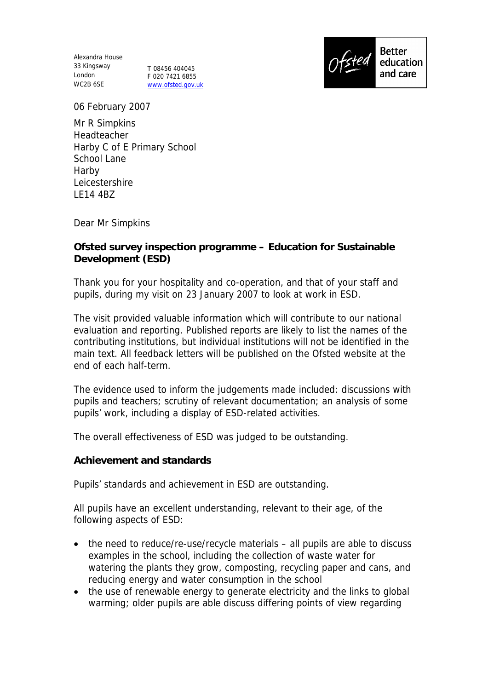Alexandra House 33 Kingsway London T 08456 404045 WC2B 6SE

F 020 7421 6855 www.ofsted.gov.uk



06 February 2007

Mr R Simpkins Headteacher Harby C of E Primary School School Lane Harby Leicestershire LE14 4BZ

Dear Mr Simpkins

**Ofsted survey inspection programme – Education for Sustainable Development (ESD)**

Thank you for your hospitality and co-operation, and that of your staff and pupils, during my visit on 23 January 2007 to look at work in ESD.

The visit provided valuable information which will contribute to our national evaluation and reporting. Published reports are likely to list the names of the contributing institutions, but individual institutions will not be identified in the main text. All feedback letters will be published on the Ofsted website at the end of each half-term.

The evidence used to inform the judgements made included: discussions with pupils and teachers; scrutiny of relevant documentation; an analysis of some pupils' work, including a display of ESD-related activities.

The overall effectiveness of ESD was judged to be outstanding.

**Achievement and standards** 

Pupils' standards and achievement in ESD are outstanding.

All pupils have an excellent understanding, relevant to their age, of the following aspects of ESD:

- the need to reduce/re-use/recycle materials all pupils are able to discuss examples in the school, including the collection of waste water for watering the plants they grow, composting, recycling paper and cans, and reducing energy and water consumption in the school
- the use of renewable energy to generate electricity and the links to global warming; older pupils are able discuss differing points of view regarding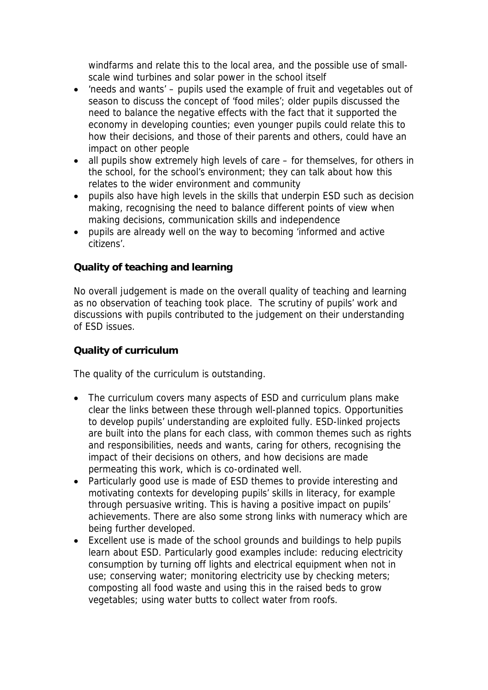windfarms and relate this to the local area, and the possible use of smallscale wind turbines and solar power in the school itself

- 'needs and wants' pupils used the example of fruit and vegetables out of season to discuss the concept of 'food miles'; older pupils discussed the need to balance the negative effects with the fact that it supported the economy in developing counties; even younger pupils could relate this to how their decisions, and those of their parents and others, could have an impact on other people
- all pupils show extremely high levels of care for themselves, for others in the school, for the school's environment; they can talk about how this relates to the wider environment and community
- pupils also have high levels in the skills that underpin ESD such as decision making, recognising the need to balance different points of view when making decisions, communication skills and independence
- pupils are already well on the way to becoming 'informed and active citizens'.

## **Quality of teaching and learning**

No overall judgement is made on the overall quality of teaching and learning as no observation of teaching took place. The scrutiny of pupils' work and discussions with pupils contributed to the judgement on their understanding of ESD issues.

## **Quality of curriculum**

The quality of the curriculum is outstanding.

- The curriculum covers many aspects of ESD and curriculum plans make clear the links between these through well-planned topics. Opportunities to develop pupils' understanding are exploited fully. ESD-linked projects are built into the plans for each class, with common themes such as rights and responsibilities, needs and wants, caring for others, recognising the impact of their decisions on others, and how decisions are made permeating this work, which is co-ordinated well.
- Particularly good use is made of ESD themes to provide interesting and motivating contexts for developing pupils' skills in literacy, for example through persuasive writing. This is having a positive impact on pupils' achievements. There are also some strong links with numeracy which are being further developed.
- Excellent use is made of the school grounds and buildings to help pupils learn about ESD. Particularly good examples include: reducing electricity consumption by turning off lights and electrical equipment when not in use; conserving water; monitoring electricity use by checking meters; composting all food waste and using this in the raised beds to grow vegetables; using water butts to collect water from roofs.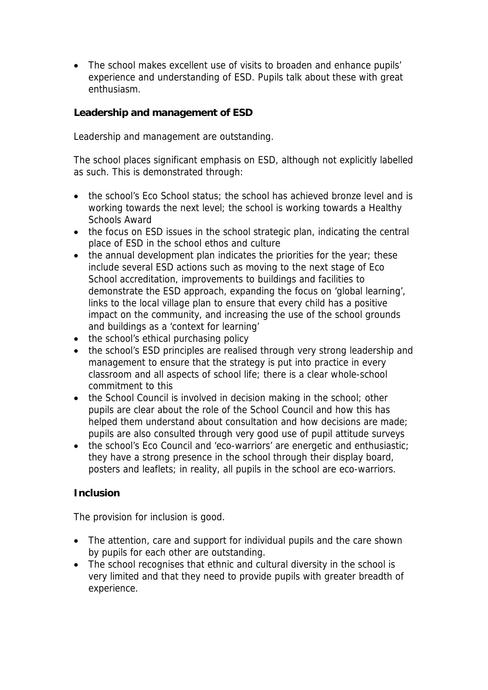• The school makes excellent use of visits to broaden and enhance pupils' experience and understanding of ESD. Pupils talk about these with great enthusiasm.

**Leadership and management of ESD**

Leadership and management are outstanding.

The school places significant emphasis on ESD, although not explicitly labelled as such. This is demonstrated through:

- the school's Eco School status; the school has achieved bronze level and is working towards the next level; the school is working towards a Healthy Schools Award
- the focus on ESD issues in the school strategic plan, indicating the central place of ESD in the school ethos and culture
- the annual development plan indicates the priorities for the year; these include several ESD actions such as moving to the next stage of Eco School accreditation, improvements to buildings and facilities to demonstrate the ESD approach, expanding the focus on 'global learning', links to the local village plan to ensure that every child has a positive impact on the community, and increasing the use of the school grounds and buildings as a 'context for learning'
- the school's ethical purchasing policy
- the school's ESD principles are realised through very strong leadership and management to ensure that the strategy is put into practice in every classroom and all aspects of school life; there is a clear whole-school commitment to this
- the School Council is involved in decision making in the school; other pupils are clear about the role of the School Council and how this has helped them understand about consultation and how decisions are made; pupils are also consulted through very good use of pupil attitude surveys
- the school's Eco Council and 'eco-warriors' are energetic and enthusiastic: they have a strong presence in the school through their display board, posters and leaflets; in reality, all pupils in the school are eco-warriors.

## **Inclusion**

The provision for inclusion is good.

- The attention, care and support for individual pupils and the care shown by pupils for each other are outstanding.
- The school recognises that ethnic and cultural diversity in the school is very limited and that they need to provide pupils with greater breadth of experience.